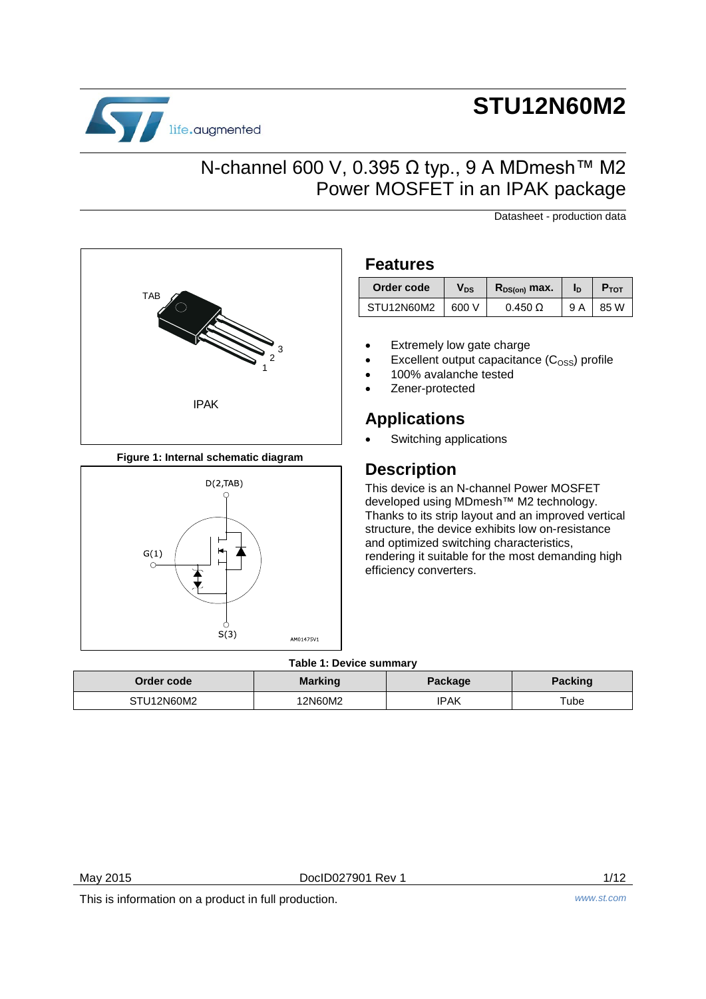# life.augmented

# **STU12N60M2**

### N-channel 600 V, 0.395 Ω typ., 9 A MDmesh™ M2 Power MOSFET in an IPAK package

Datasheet - production data



**Figure 1: Internal schematic diagram**



### **Features**

| Order code | Vds   | $R_{DS(on)}$ max. | In  | <b>P</b> TOT |
|------------|-------|-------------------|-----|--------------|
| STU12N60M2 | 600 V | $0.450 \Omega$    | 9 A | 85 W         |

- Extremely low gate charge
- Excellent output capacitance  $(C_{\text{OSS}})$  profile
- 100% avalanche tested
- Zener-protected

### **Applications**

Switching applications

### **Description**

This device is an N-channel Power MOSFET developed using MDmesh™ M2 technology. Thanks to its strip layout and an improved vertical structure, the device exhibits low on-resistance and optimized switching characteristics, rendering it suitable for the most demanding high efficiency converters.

### **Table 1: Device summary**

| Order code | <b>Marking</b> | Package | <b>Packing</b> |
|------------|----------------|---------|----------------|
| STU12N60M2 | 12N60M2        | IPAK    | Tube           |

May 2015 **DoclD027901 Rev 1** 2015 **DoclD027901 Rev 1** 

This is information on a product in full production. *www.st.com*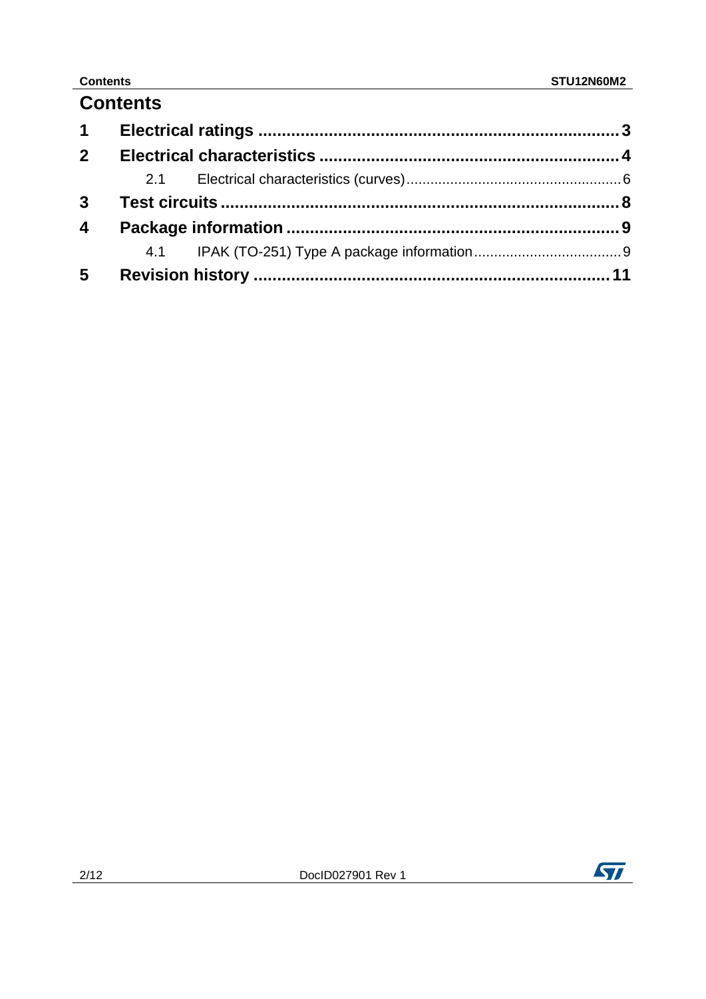### **Contents**

| $\mathbf 1$             |  |  |
|-------------------------|--|--|
| $\overline{2}$          |  |  |
|                         |  |  |
| $\mathbf{3}$            |  |  |
| $\overline{\mathbf{4}}$ |  |  |
|                         |  |  |
| $5\phantom{.0}$         |  |  |

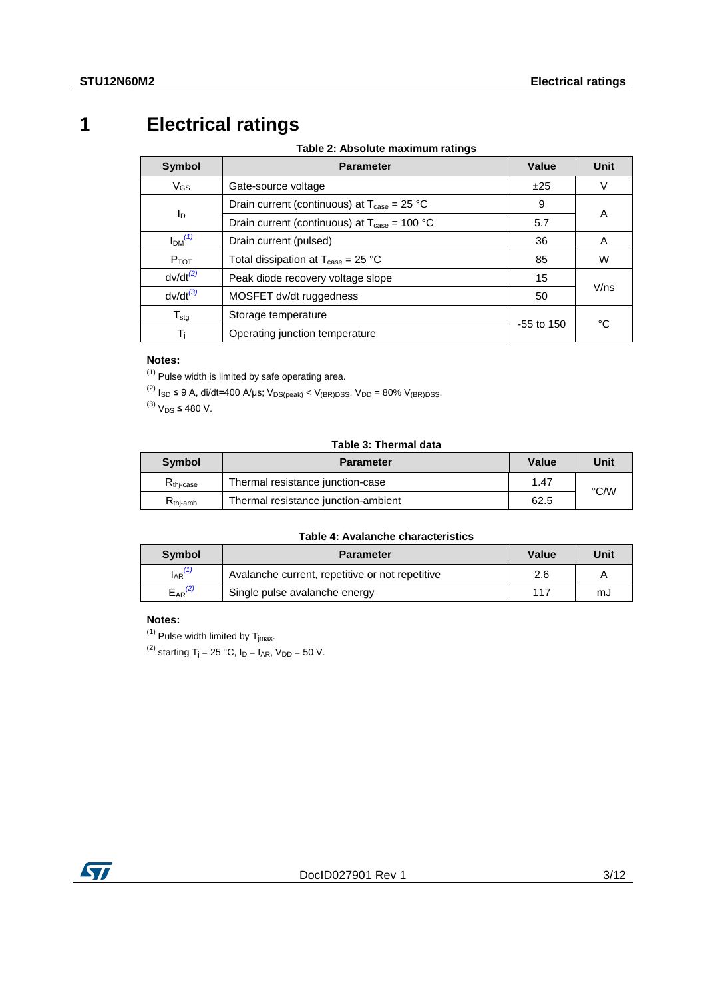# **1 Electrical ratings**

**Table 2: Absolute maximum ratings**

<span id="page-2-0"></span>

| <b>Symbol</b>                  | <b>Parameter</b>                                                     | Value        | Unit |
|--------------------------------|----------------------------------------------------------------------|--------------|------|
| $V_{GS}$                       | Gate-source voltage                                                  | ±25          | V    |
|                                | Drain current (continuous) at $T_{\text{case}} = 25 \text{ °C}$      | 9            | Α    |
| Iр                             | Drain current (continuous) at $T_{\text{case}} = 100 \text{ °C}$     | 5.7          |      |
| I <sub>DM</sub> <sup>(1)</sup> | Drain current (pulsed)                                               | 36           | A    |
| $P_{TOT}$                      | Total dissipation at $T_{\text{case}} = 25 \text{ }^{\circ}\text{C}$ | 85           | W    |
| $dv/dt^{(2)}$                  | Peak diode recovery voltage slope                                    | 15           | V/ns |
| $dv/dt^{(3)}$                  | MOSFET dv/dt ruggedness                                              | 50           |      |
| $T_{\text{stg}}$               | Storage temperature                                                  |              | °C   |
| Ti                             | Operating junction temperature                                       | $-55$ to 150 |      |

### **Notes:**

<span id="page-2-1"></span> $(1)$  Pulse width is limited by safe operating area.

<span id="page-2-2"></span> $^{(2)}$  I<sub>SD</sub> ≤ 9 A, di/dt=400 A/μs; V<sub>DS(peak)</sub> < V<sub>(BR)DSS</sub>, V<sub>DD</sub> = 80% V<sub>(BR)DSS</sub>.

<span id="page-2-3"></span> $^{(3)}$  V<sub>DS</sub> ≤ 480 V.

#### **Table 3: Thermal data**

| Symbol               | <b>Parameter</b>                    | Value | Unit |
|----------------------|-------------------------------------|-------|------|
| $R_{\rm thi-case}$   | Thermal resistance junction-case    | 1.47  |      |
| $R_{\text{thi-amb}}$ | Thermal resistance junction-ambient | 62.5  | °C⁄W |

#### **Table 4: Avalanche characteristics**

| <b>Symbol</b>  | <b>Parameter</b>                                | Value | Unit |
|----------------|-------------------------------------------------|-------|------|
| $I_{AR}^{(1)}$ | Avalanche current, repetitive or not repetitive | 2.6   |      |
| $E_{AR}^{(2)}$ | Single pulse avalanche energy                   | 117   | mJ   |

#### **Notes:**

<span id="page-2-4"></span> $(1)$  Pulse width limited by  $T_{jmax}$ .

<span id="page-2-5"></span><sup>(2)</sup> starting T<sub>j</sub> = 25 °C,  $I_D = I_{AR}$ ,  $V_{DD} = 50$  V.

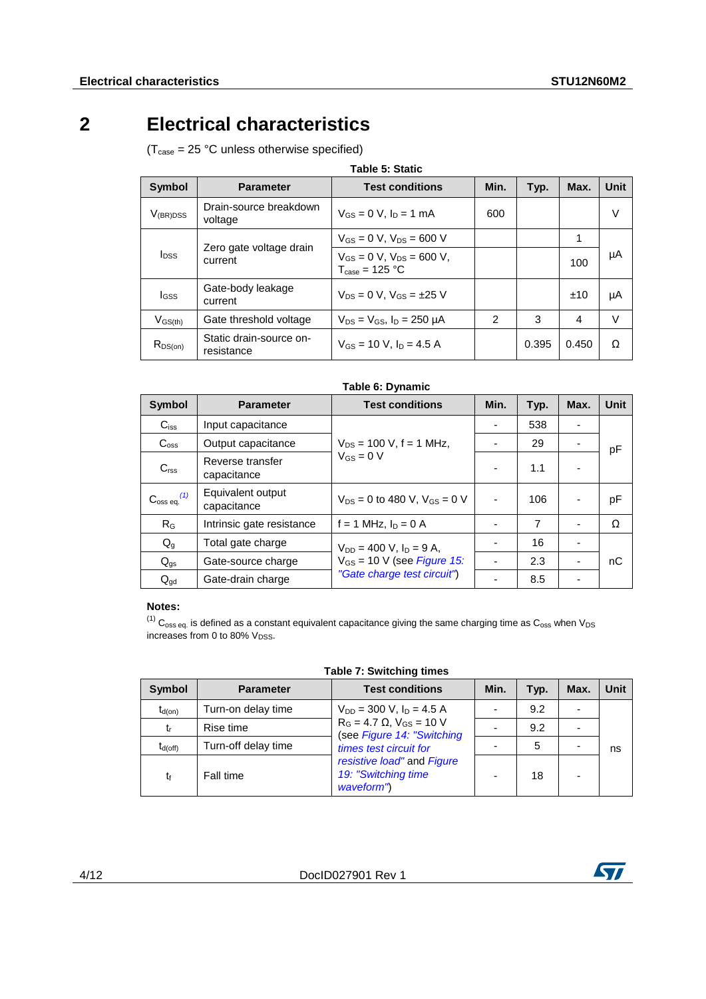## **2 Electrical characteristics**

<span id="page-3-0"></span> $(T_{\text{case}} = 25 \text{ °C}$  unless otherwise specified)

| Symbol                  | <b>Parameter</b>                      | <b>Test conditions</b>                                                  | Min. | Typ.  | Max.  | Unit   |
|-------------------------|---------------------------------------|-------------------------------------------------------------------------|------|-------|-------|--------|
| $V_{\rm (BR)DSS}$       | Drain-source breakdown<br>voltage     | $V_{GS} = 0$ V, $I_D = 1$ mA                                            | 600  |       |       | V      |
|                         |                                       | $V_{GS} = 0$ V, $V_{DS} = 600$ V                                        |      |       |       |        |
| <b>I</b> <sub>DSS</sub> | Zero gate voltage drain<br>current    | $V_{GS} = 0$ V, $V_{DS} = 600$ V,<br>$T_{\text{case}} = 125 \text{ °C}$ |      |       | 100   | μA     |
| lgss                    | Gate-body leakage<br>current          | $V_{DS} = 0 V$ . $V_{GS} = \pm 25 V$                                    |      |       | ±10   | μA     |
| $V_{GS(th)}$            | Gate threshold voltage                | $V_{DS} = V_{GS}$ , $I_D = 250 \mu A$                                   | 2    | 3     | 4     | $\vee$ |
| $R_{DS(on)}$            | Static drain-source on-<br>resistance | $V_{GS}$ = 10 V, $I_D$ = 4.5 A                                          |      | 0.395 | 0.450 | Ω      |

| Table 6: Dynamic                |                                  |                                       |      |      |      |             |
|---------------------------------|----------------------------------|---------------------------------------|------|------|------|-------------|
| <b>Symbol</b>                   | <b>Parameter</b>                 | <b>Test conditions</b>                | Min. | Typ. | Max. | <b>Unit</b> |
| $C_{iss}$                       | Input capacitance                |                                       |      | 538  | ٠    |             |
| C <sub>oss</sub>                | Output capacitance               | $V_{DS}$ = 100 V, f = 1 MHz,          |      | 29   |      | pF          |
| C <sub>rss</sub>                | Reverse transfer<br>capacitance  | $V_{GS} = 0 V$                        |      | 1.1  |      |             |
| $\mathrm{C_{oss}}$ eq. $^{(1)}$ | Equivalent output<br>capacitance | $V_{DS} = 0$ to 480 V, $V_{GS} = 0$ V |      | 106  | ٠    | рF          |
| $R_G$                           | Intrinsic gate resistance        | f = 1 MHz, $I_D = 0$ A                |      | 7    | ٠    | Ω           |
| $Q_g$                           | Total gate charge                | $V_{DD} = 400$ V, $I_D = 9$ A,        |      | 16   | ٠    |             |
| $Q_{gs}$                        | Gate-source charge               | $V_{GS}$ = 10 V (see Figure 15:       |      | 2.3  | ٠    | nC          |
| $Q_{\text{qd}}$                 | Gate-drain charge                | "Gate charge test circuit")           |      | 8.5  | ٠    |             |

#### **Notes:**

<span id="page-3-1"></span> $^{(1)}$  C<sub>oss eq.</sub> is defined as a constant equivalent capacitance giving the same charging time as C<sub>oss</sub> when V<sub>DS</sub> increases from 0 to 80%  $V_{DSS}$ .

**Table 7: Switching times**

| Symbol       | <b>Parameter</b>    | <b>Test conditions</b>                                             | Min. | Typ. | Max. | Unit |
|--------------|---------------------|--------------------------------------------------------------------|------|------|------|------|
| $t_{d(on)}$  | Turn-on delay time  | $V_{DD}$ = 300 V, $I_D$ = 4.5 A                                    |      | 9.2  |      |      |
| t,           | Rise time           | $R_G = 4.7 \Omega$ , $V_{GS} = 10 V$<br>(see Figure 14: "Switching |      | 9.2  |      |      |
| $t_{d(off)}$ | Turn-off delay time | times test circuit for                                             |      | 5    |      | ns   |
| t            | Fall time           | resistive load" and Figure<br>19: "Switching time<br>waveform")    |      | 18   |      |      |

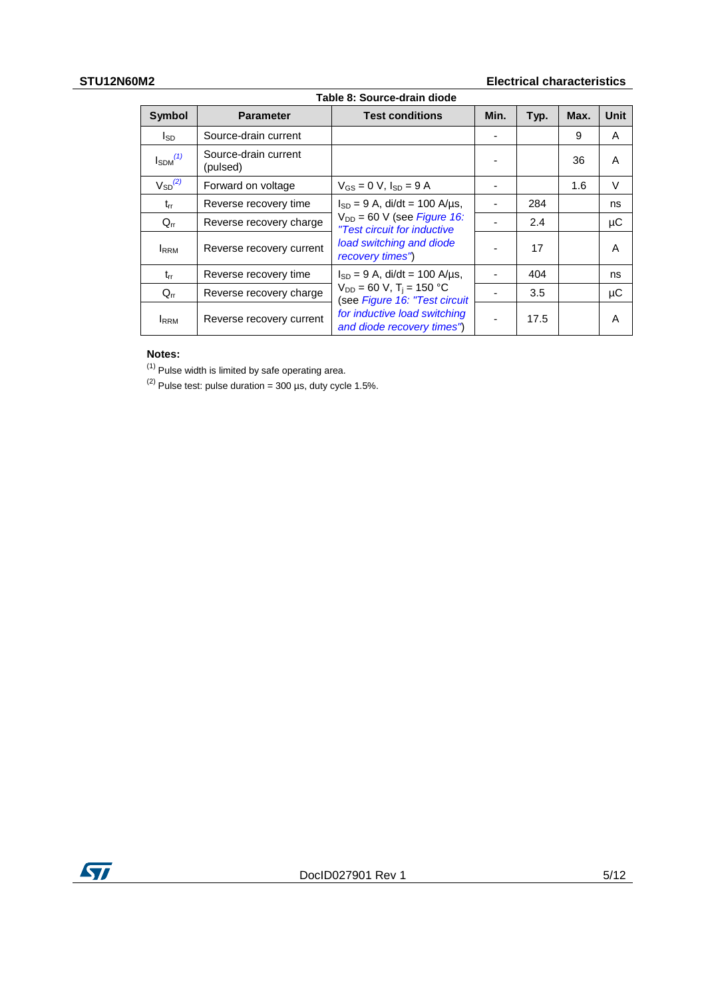### **STU12N60M2 Electrical characteristics**

| Table 8: Source-drain diode |                                  |                                                                            |      |      |      |        |
|-----------------------------|----------------------------------|----------------------------------------------------------------------------|------|------|------|--------|
| <b>Symbol</b>               | <b>Parameter</b>                 | <b>Test conditions</b>                                                     | Min. | Typ. | Max. | Unit   |
| lsp                         | Source-drain current             |                                                                            |      |      | 9    | A      |
| $I_{SDM}^{(1)}$             | Source-drain current<br>(pulsed) |                                                                            |      |      | 36   | A      |
| $V_{SD}^{(2)}$              | Forward on voltage               | $V_{GS} = 0 V$ , $I_{SD} = 9 A$                                            |      |      | 1.6  | $\vee$ |
| $t_{rr}$                    | Reverse recovery time            | $I_{SD} = 9$ A, di/dt = 100 A/µs,                                          |      | 284  |      | ns     |
| $Q_{rr}$                    | Reverse recovery charge          | $V_{DD}$ = 60 V (see <i>Figure 16:</i><br>"Test circuit for inductive      |      | 2.4  |      | μC     |
| <b>IRRM</b>                 | Reverse recovery current         | load switching and diode<br>recovery times")                               |      | 17   |      | A      |
| $t_{rr}$                    | Reverse recovery time            | $I_{SD} = 9$ A, di/dt = 100 A/µs,                                          |      | 404  |      | ns     |
| $Q_{rr}$                    | Reverse recovery charge          | $V_{DD} = 60 V$ , T <sub>i</sub> = 150 °C<br>(see Figure 16: "Test circuit |      | 3.5  |      | μC     |
| <b>IRRM</b>                 | Reverse recovery current         | for inductive load switching<br>and diode recovery times")                 |      | 17.5 |      | A      |

#### **Notes:**

<span id="page-4-0"></span>(1) Pulse width is limited by safe operating area.

<span id="page-4-1"></span> $(2)$  Pulse test: pulse duration = 300 µs, duty cycle 1.5%.

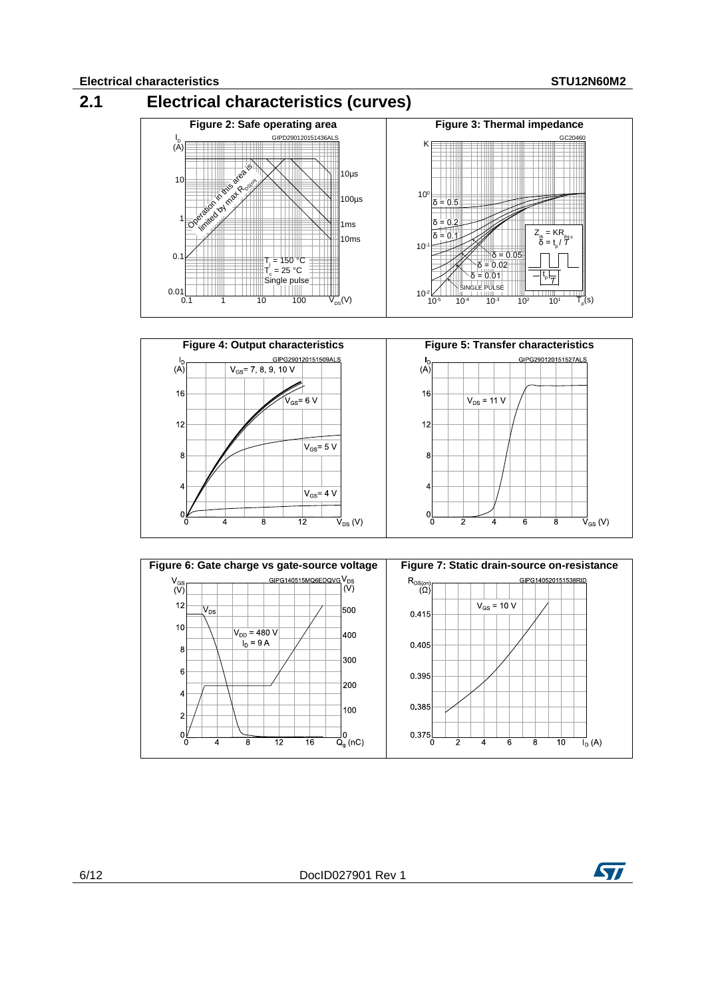<span id="page-5-0"></span>





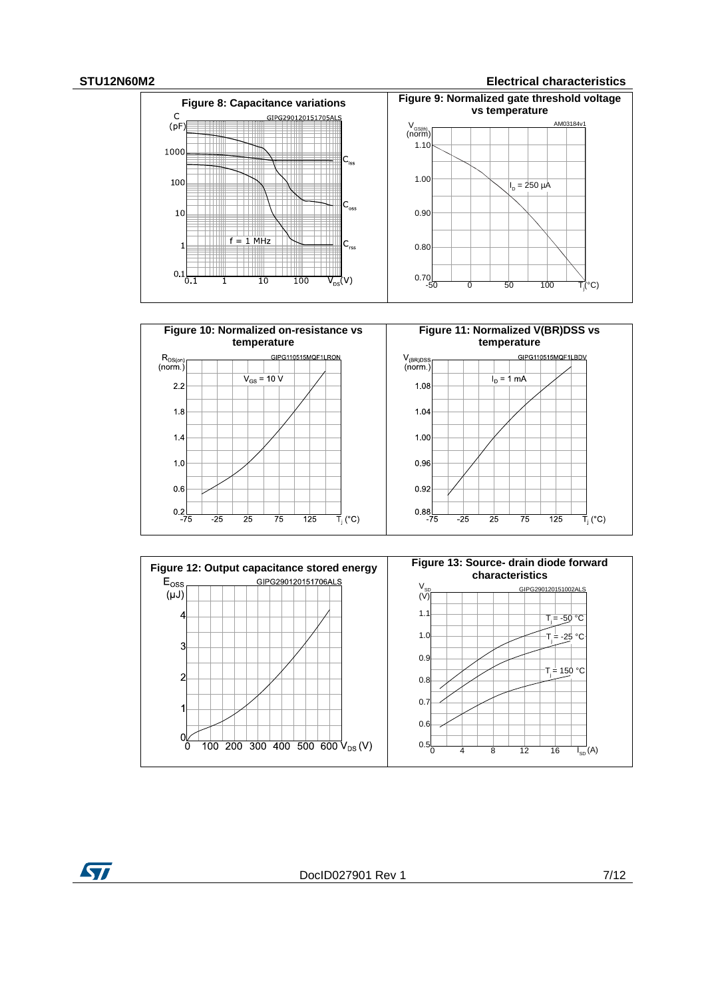#### **STU12N60M2 Electrical characteristics**





ST

DocID027901 Rev 1 7/12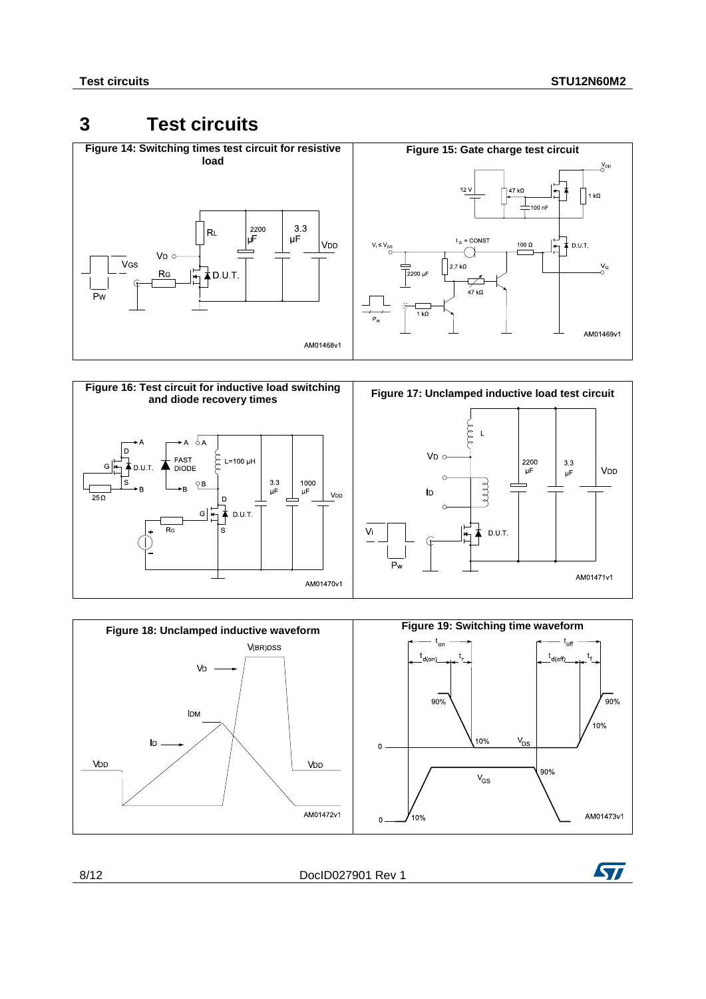### <span id="page-7-1"></span><span id="page-7-0"></span>**3 Test circuits**

<span id="page-7-2"></span>

<span id="page-7-4"></span>

<span id="page-7-3"></span>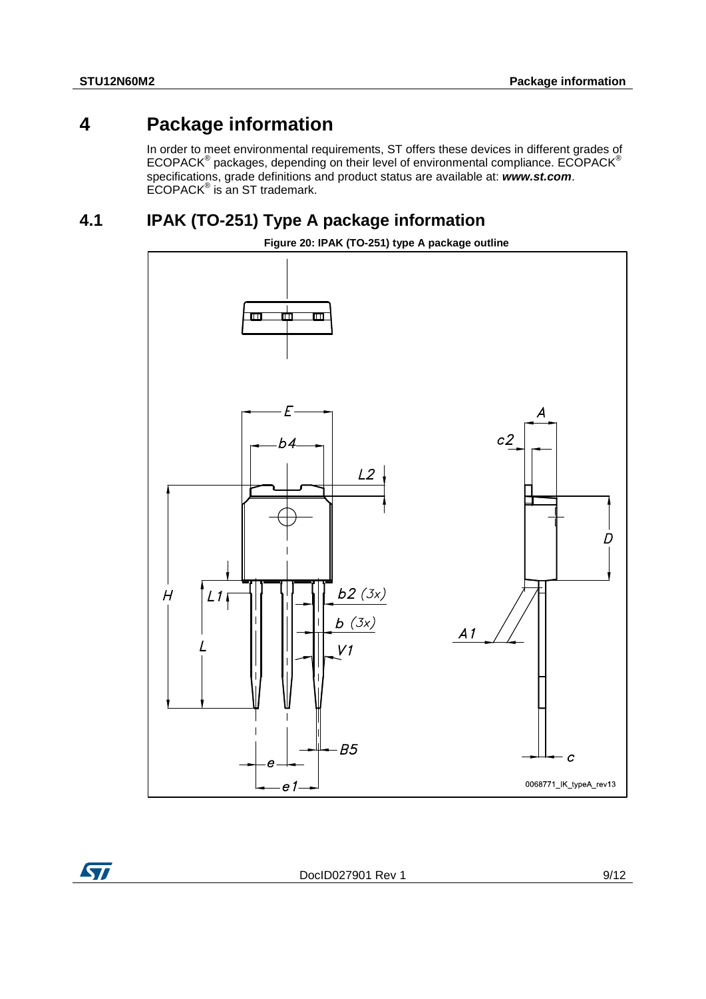### **4 Package information**

<span id="page-8-0"></span>In order to meet environmental requirements, ST offers these devices in different grades of ECOPACK® packages, depending on their level of environmental compliance. ECOPACK® specifications, grade definitions and product status are available at: *www.st.com*.  $ECOPACK^{\circ}$  is an ST trademark.

### **4.1 IPAK (TO-251) Type A package information**

**Figure 20: IPAK (TO-251) type A package outline**

<span id="page-8-1"></span>

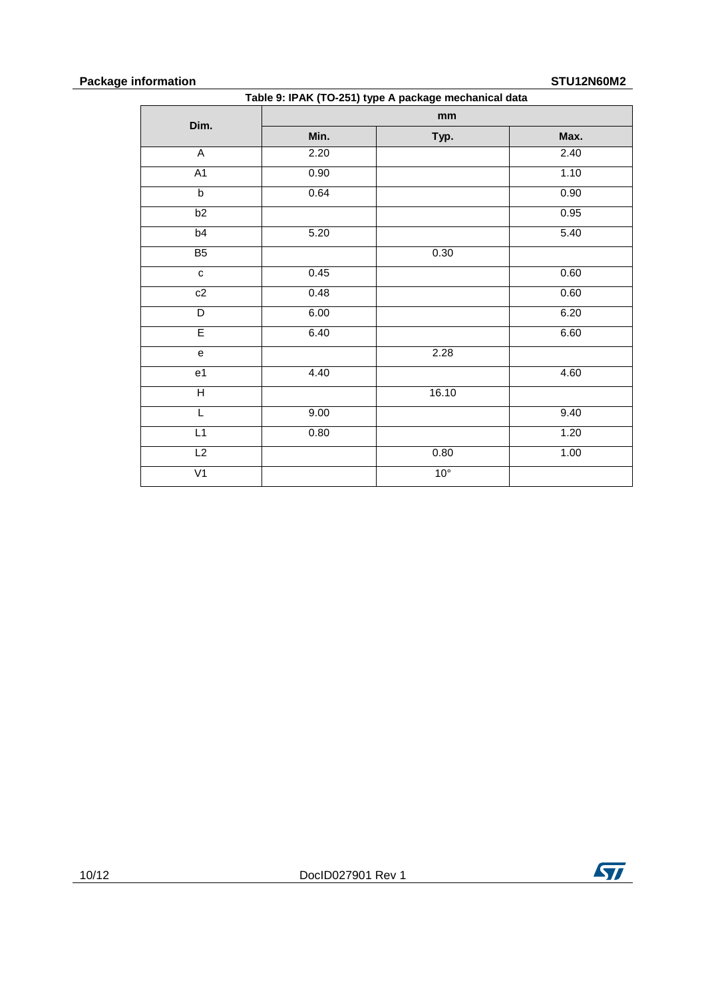### **Package information STU12N60M2**

| Table 9: IPAK (TO-251) type A package mechanical data |      |                 |      |  |  |
|-------------------------------------------------------|------|-----------------|------|--|--|
| Dim.                                                  |      | mm              |      |  |  |
|                                                       | Min. | Typ.            | Max. |  |  |
| $\overline{A}$                                        | 2.20 |                 | 2.40 |  |  |
| A1                                                    | 0.90 |                 | 1.10 |  |  |
| $\overline{b}$                                        | 0.64 |                 | 0.90 |  |  |
| b2                                                    |      |                 | 0.95 |  |  |
| b <sub>4</sub>                                        | 5.20 |                 | 5.40 |  |  |
| B <sub>5</sub>                                        |      | $0.30\,$        |      |  |  |
| ${\bf c}$                                             | 0.45 |                 | 0.60 |  |  |
| c2                                                    | 0.48 |                 | 0.60 |  |  |
| $\overline{\mathsf{D}}$                               | 6.00 |                 | 6.20 |  |  |
| E                                                     | 6.40 |                 | 6.60 |  |  |
| $\mathsf{e}% _{t}\left( t\right)$                     |      | 2.28            |      |  |  |
| e <sub>1</sub>                                        | 4.40 |                 | 4.60 |  |  |
| $\overline{\mathsf{H}}$                               |      | 16.10           |      |  |  |
| L                                                     | 9.00 |                 | 9.40 |  |  |
| L1                                                    | 0.80 |                 | 1.20 |  |  |
| L2                                                    |      | 0.80            | 1.00 |  |  |
| V <sub>1</sub>                                        |      | 10 <sup>°</sup> |      |  |  |

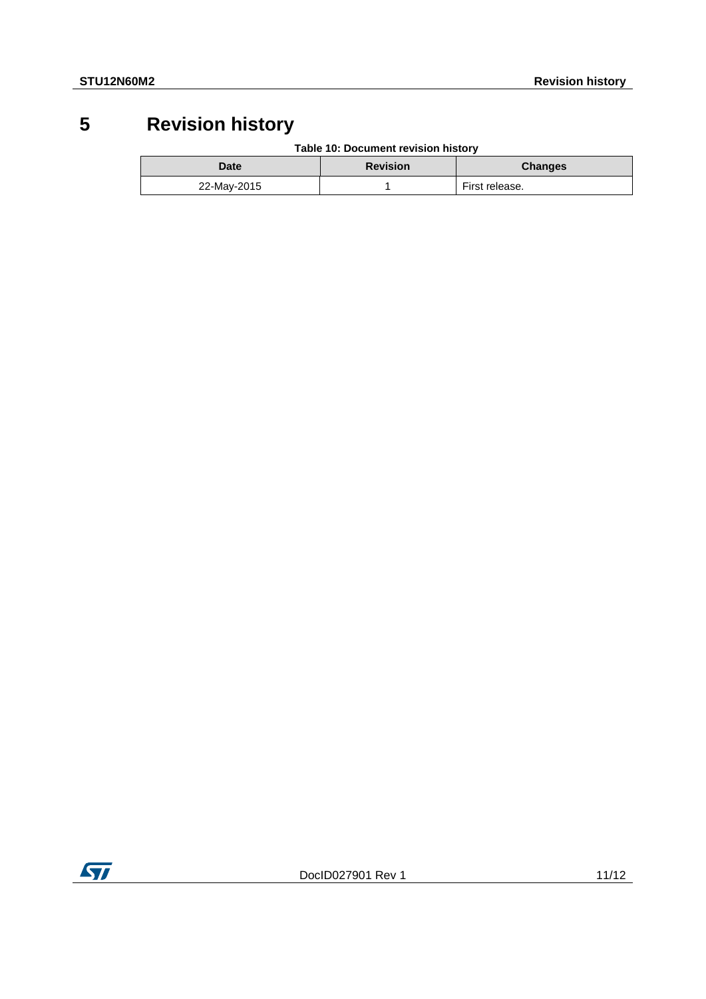## **5 Revision history**

**Table 10: Document revision history**

<span id="page-10-0"></span>

| Date        | <b>Revision</b> | <b>Changes</b> |
|-------------|-----------------|----------------|
| 22-May-2015 |                 | First release. |